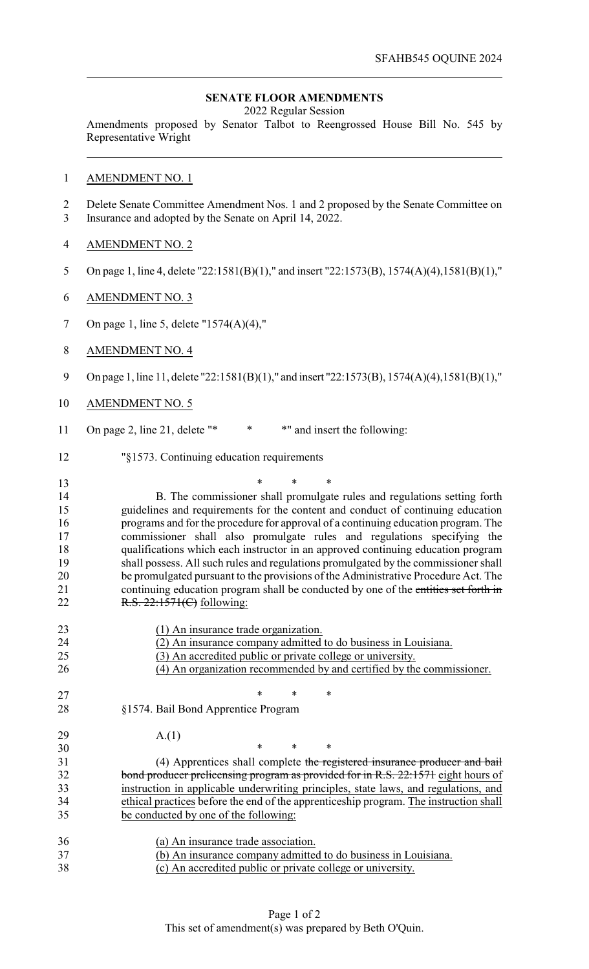## **SENATE FLOOR AMENDMENTS**

2022 Regular Session

Amendments proposed by Senator Talbot to Reengrossed House Bill No. 545 by Representative Wright

## AMENDMENT NO. 1

- Delete Senate Committee Amendment Nos. 1 and 2 proposed by the Senate Committee on Insurance and adopted by the Senate on April 14, 2022.
- AMENDMENT NO. 2
- 5 On page 1, line 4, delete "22:1581(B)(1)," and insert "22:1573(B), 1574(A)(4),1581(B)(1),"
- AMENDMENT NO. 3
- On page 1, line 5, delete "1574(A)(4),"
- AMENDMENT NO. 4
- On page 1, line 11, delete "22:1581(B)(1)," and insert "22:1573(B), 1574(A)(4),1581(B)(1),"
- AMENDMENT NO. 5
- 11 On page 2, line 21, delete "\* \* \*" and insert the following:
- "§1573. Continuing education requirements

| 13 | *<br>$\ast$<br>*                                                                      |
|----|---------------------------------------------------------------------------------------|
| 14 | B. The commissioner shall promulgate rules and regulations setting forth              |
| 15 | guidelines and requirements for the content and conduct of continuing education       |
| 16 | programs and for the procedure for approval of a continuing education program. The    |
| 17 | commissioner shall also promulgate rules and regulations specifying the               |
| 18 | qualifications which each instructor in an approved continuing education program      |
| 19 | shall possess. All such rules and regulations promulgated by the commissioner shall   |
| 20 | be promulgated pursuant to the provisions of the Administrative Procedure Act. The    |
| 21 | continuing education program shall be conducted by one of the entities set forth in   |
| 22 | R.S. 22:1571(C) following:                                                            |
| 23 | (1) An insurance trade organization.                                                  |
| 24 | (2) An insurance company admitted to do business in Louisiana.                        |
| 25 | (3) An accredited public or private college or university.                            |
| 26 | (4) An organization recommended by and certified by the commissioner.                 |
| 27 | *<br>$\ast$<br>$\ast$                                                                 |
| 28 | §1574. Bail Bond Apprentice Program                                                   |
| 29 | A(1)                                                                                  |
| 30 | *<br>$\ast$<br>$\ast$                                                                 |
| 31 | (4) Apprentices shall complete the registered insurance producer and bail             |
| 32 | bond producer prelicensing program as provided for in R.S. 22:1571 eight hours of     |
| 33 | instruction in applicable underwriting principles, state laws, and regulations, and   |
| 34 | ethical practices before the end of the apprenticeship program. The instruction shall |
| 35 | be conducted by one of the following:                                                 |
| 36 | (a) An insurance trade association.                                                   |
| 37 | (b) An insurance company admitted to do business in Louisiana.                        |
| 38 | (c) An accredited public or private college or university.                            |
|    |                                                                                       |